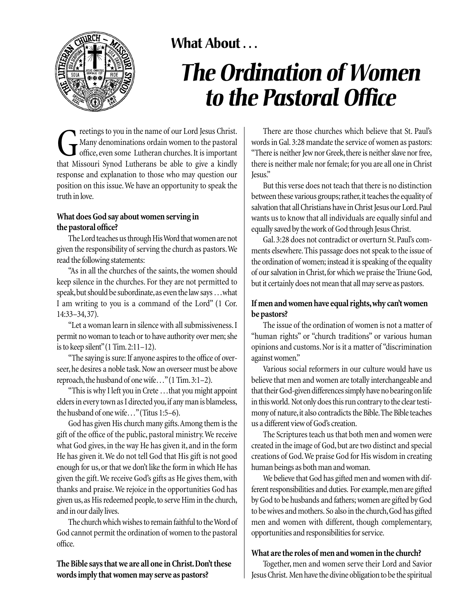

## **What About . . .**

# *The Ordination of Women to the Pastoral Office*

The matter of our Lord Jesus Christ.<br>Thany denominations ordain women to the pastoral<br>office, even some Lutheran churches. It is important<br>that Missouri Synod Lutherans be able to give a kindly Many denominations ordain women to the pastoral office, even some Lutheran churches. It is important that Missouri Synod Lutherans be able to give a kindly response and explanation to those who may question our position on this issue.We have an opportunity to speak the truth in love.

### **What does God say about women serving in the pastoral office?**

The Lord teaches us through His Word that women are not given the responsibility of serving the church as pastors.We read the following statements:

"As in all the churches of the saints, the women should keep silence in the churches. For they are not permitted to speak, but should be subordinate, as even the law says . . . what I am writing to you is a command of the Lord" (1 Cor. 14:33–34,37).

"Let a woman learn in silence with all submissiveness. I permit no woman to teach or to have authority over men; she is to keep silent"(1 Tim.2:11–12).

"The saying is sure: If anyone aspires to the office of overseer, he desires a noble task. Now an overseer must be above reproach, the husband of one wife..." (1 Tim. 3:1–2).

"This is why I left you in Crete …that you might appoint elders in every town as I directed you, if any man is blameless, the husband of one wife…"(Titus 1:5–6).

God has given His church many gifts.Among them is the gift of the office of the public, pastoral ministry.We receive what God gives, in the way He has given it, and in the form He has given it.We do not tell God that His gift is not good enough for us, or that we don't like the form in which He has given the gift.We receive God's gifts as He gives them, with thanks and praise.We rejoice in the opportunities God has given us, as His redeemed people, to serve Him in the church, and in our daily lives.

The church which wishes to remain faithful to the Word of God cannot permit the ordination of women to the pastoral office.

**The Bible says that we are all one in Christ.Don't these words imply that women may serve as pastors?**

There are those churches which believe that St. Paul's words in Gal.3:28 mandate the service of women as pastors: "There is neither Jew nor Greek, there is neither slave nor free, there is neither male nor female; for you are all one in Christ Jesus."

But this verse does not teach that there is no distinction between these various groups; rather, it teaches the equality of salvation that all Christians have in Christ Jesus our Lord. Paul wants us to know that all individuals are equally sinful and equally saved by the work of God through Jesus Christ.

Gal. 3:28 does not contradict or overturn St. Paul's comments elsewhere.This passage does not speak to the issue of the ordination of women; instead it is speaking of the equality of our salvation in Christ, for which we praise the Triune God, but it certainly does not mean that all may serve as pastors.

### **If men and women have equal rights,why can't women be pastors?**

The issue of the ordination of women is not a matter of "human rights" or "church traditions" or various human opinions and customs. Nor is it a matter of "discrimination against women."

Various social reformers in our culture would have us believe that men and women are totally interchangeable and that their God-given differences simply have no bearing on life in this world. Not only does this run contrary to the clear testimony of nature, it also contradicts the Bible. The Bible teaches us a different view of God's creation.

The Scriptures teach us that both men and women were created in the image of God, but are two distinct and special creations of God.We praise God for His wisdom in creating human beings as both man and woman.

We believe that God has gifted men and women with different responsibilities and duties. For example, men are gifted by God to be husbands and fathers; women are gifted by God to be wives and mothers. So also in the church,God has gifted men and women with different, though complementary, opportunities and responsibilities for service.

### **What are the roles of men and women in the church?**

Together, men and women serve their Lord and Savior Jesus Christ. Men have the divine obligation to be the spiritual